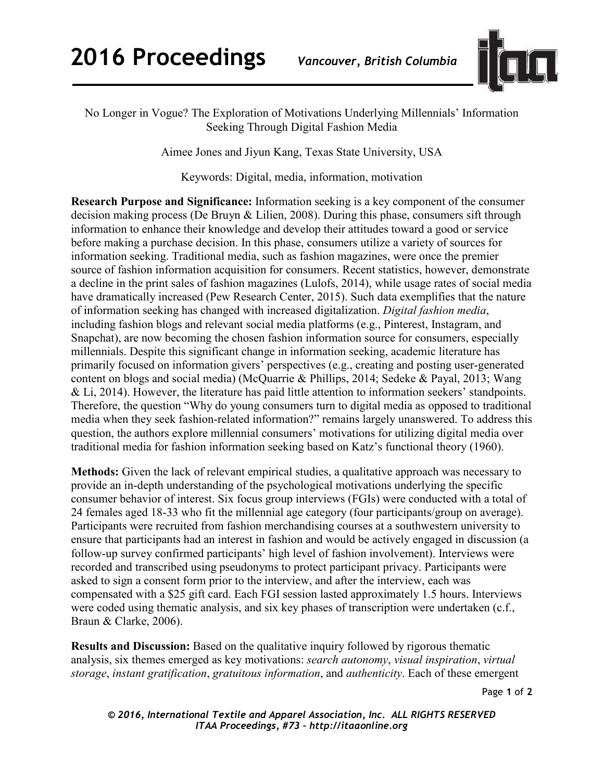

No Longer in Vogue? The Exploration of Motivations Underlying Millennials' Information Seeking Through Digital Fashion Media

Aimee Jones and Jiyun Kang, Texas State University, USA

Keywords: Digital, media, information, motivation

**Research Purpose and Significance:** Information seeking is a key component of the consumer decision making process (De Bruyn & Lilien, 2008). During this phase, consumers sift through information to enhance their knowledge and develop their attitudes toward a good or service before making a purchase decision. In this phase, consumers utilize a variety of sources for information seeking. Traditional media, such as fashion magazines, were once the premier source of fashion information acquisition for consumers. Recent statistics, however, demonstrate a decline in the print sales of fashion magazines (Lulofs, 2014), while usage rates of social media have dramatically increased (Pew Research Center, 2015). Such data exemplifies that the nature of information seeking has changed with increased digitalization. *Digital fashion media*, including fashion blogs and relevant social media platforms (e.g., Pinterest, Instagram, and Snapchat), are now becoming the chosen fashion information source for consumers, especially millennials. Despite this significant change in information seeking, academic literature has primarily focused on information givers' perspectives (e.g., creating and posting user-generated content on blogs and social media) (McQuarrie & Phillips, 2014; Sedeke & Payal, 2013; Wang & Li, 2014). However, the literature has paid little attention to information seekers' standpoints. Therefore, the question "Why do young consumers turn to digital media as opposed to traditional media when they seek fashion-related information?" remains largely unanswered. To address this question, the authors explore millennial consumers' motivations for utilizing digital media over traditional media for fashion information seeking based on Katz's functional theory (1960).

**Methods:** Given the lack of relevant empirical studies, a qualitative approach was necessary to provide an in-depth understanding of the psychological motivations underlying the specific consumer behavior of interest. Six focus group interviews (FGIs) were conducted with a total of 24 females aged 18-33 who fit the millennial age category (four participants/group on average). Participants were recruited from fashion merchandising courses at a southwestern university to ensure that participants had an interest in fashion and would be actively engaged in discussion (a follow-up survey confirmed participants' high level of fashion involvement). Interviews were recorded and transcribed using pseudonyms to protect participant privacy. Participants were asked to sign a consent form prior to the interview, and after the interview, each was compensated with a \$25 gift card. Each FGI session lasted approximately 1.5 hours. Interviews were coded using thematic analysis, and six key phases of transcription were undertaken (c.f., Braun & Clarke, 2006).

**Results and Discussion:** Based on the qualitative inquiry followed by rigorous thematic analysis, six themes emerged as key motivations: *search autonomy*, *visual inspiration*, *virtual storage*, *instant gratification*, *gratuitous information*, and *authenticity*. Each of these emergent

Page **1** of **2** 

*© 2016, International Textile and Apparel Association, Inc. ALL RIGHTS RESERVED ITAA Proceedings, #73 – http://itaaonline.org*